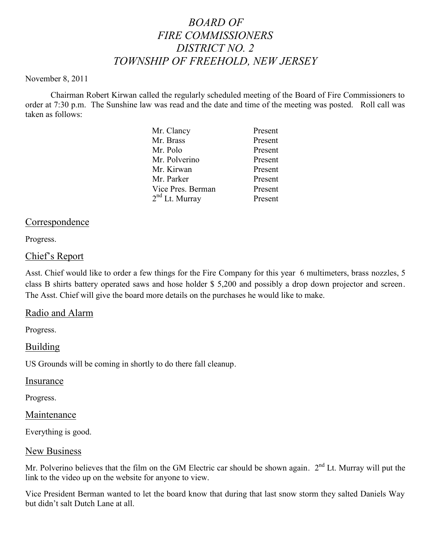# *BOARD OF FIRE COMMISSIONERS DISTRICT NO. 2 TOWNSHIP OF FREEHOLD, NEW JERSEY*

#### November 8, 2011

Chairman Robert Kirwan called the regularly scheduled meeting of the Board of Fire Commissioners to order at 7:30 p.m. The Sunshine law was read and the date and time of the meeting was posted. Roll call was taken as follows:

| Mr. Clancy                 | Present |
|----------------------------|---------|
| Mr. Brass                  | Present |
| Mr. Polo                   | Present |
| Mr. Polverino              | Present |
| Mr. Kirwan                 | Present |
| Mr. Parker                 | Present |
| Vice Pres. Berman          | Present |
| 2 <sup>nd</sup> Lt. Murray | Present |
|                            |         |

# Correspondence

Progress.

### Chief's Report

Asst. Chief would like to order a few things for the Fire Company for this year 6 multimeters, brass nozzles, 5 class B shirts battery operated saws and hose holder \$ 5,200 and possibly a drop down projector and screen. The Asst. Chief will give the board more details on the purchases he would like to make.

#### Radio and Alarm

Progress.

Building

US Grounds will be coming in shortly to do there fall cleanup.

Insurance

Progress.

#### Maintenance

Everything is good.

#### New Business

Mr. Polverino believes that the film on the GM Electric car should be shown again.  $2<sup>nd</sup>$  Lt. Murray will put the link to the video up on the website for anyone to view.

Vice President Berman wanted to let the board know that during that last snow storm they salted Daniels Way but didn't salt Dutch Lane at all.